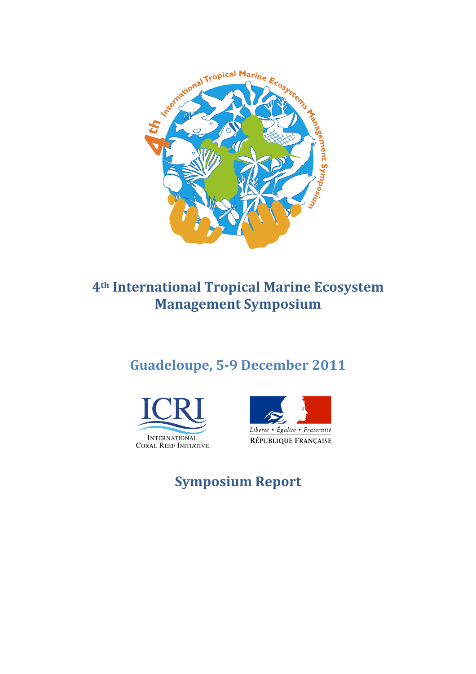

# **4th International!Tropical!Marine!Ecosystem! Management Symposium**

# Guadeloupe, 5-9 December 2011





# **Symposium!Report**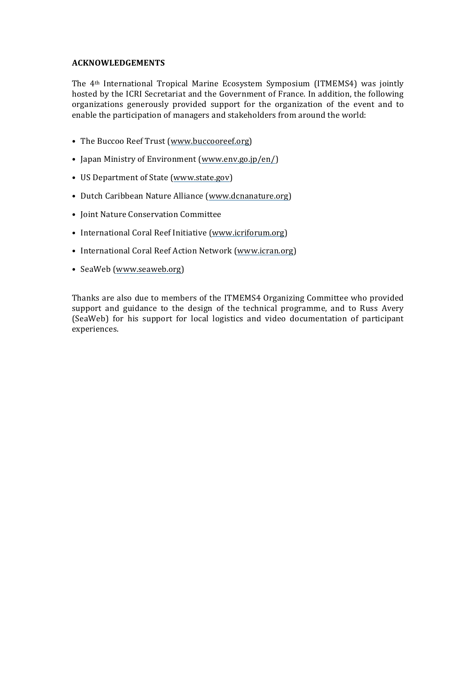#### **ACKNOWLEDGEMENTS**

The  $4<sup>th</sup> International Tropical Marine Ecosystem Symposium (ITMEMS4) was jointly$ hosted by the ICRI Secretariat and the Government of France. In addition, the following organizations generously provided support for the organization of the event and to enable the participation of managers and stakeholders from around the world:

- The Buccoo Reef Trust (www.buccooreef.org)
- Japan Ministry of Environment (www.env.go.jp/en/)
- US Department of State (www.state.gov)
- Dutch Caribbean Nature Alliance (www.dcnanature.org)
- Joint Nature Conservation Committee
- International Coral Reef Initiative (www.icriforum.org)
- International Coral Reef Action Network (www.icran.org)
- SeaWeb (www.seaweb.org)

Thanks are also due to members of the ITMEMS4 Organizing Committee who provided support and guidance to the design of the technical programme, and to Russ Avery (SeaWeb) for his support for local logistics and video documentation of participant experiences.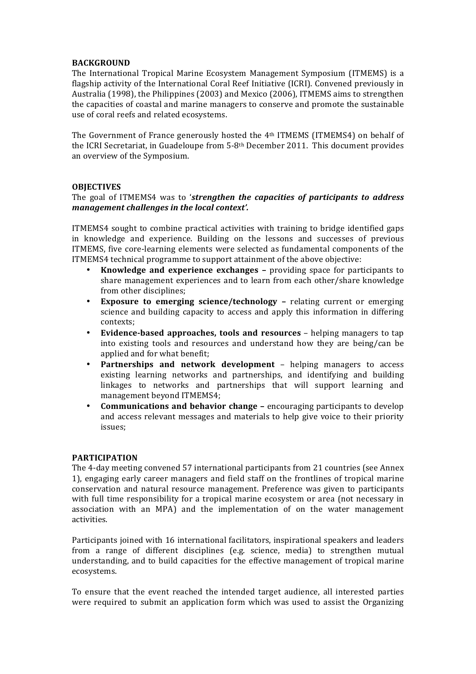#### **BACKGROUND**

The International Tropical Marine Ecosystem Management Symposium (ITMEMS) is a flagship activity of the International Coral Reef Initiative (ICRI). Convened previously in Australia (1998), the Philippines (2003) and Mexico (2006), ITMEMS aims to strengthen the capacities of coastal and marine managers to conserve and promote the sustainable use of coral reefs and related ecosystems.

The Government of France generously hosted the  $4<sup>th</sup>$  ITMEMS (ITMEMS4) on behalf of the ICRI Secretariat, in Guadeloupe from  $5-8$ <sup>th</sup> December 2011. This document provides an overview of the Symposium.

### **OBJECTIVES**

#### The goal of ITMEMS4 was to 'strengthen the capacities of participants to address *management challenges in the local context'.*

ITMEMS4 sought to combine practical activities with training to bridge identified gaps in knowledge and experience. Building on the lessons and successes of previous ITMEMS, five core-learning elements were selected as fundamental components of the ITMEMS4 technical programme to support attainment of the above objective:

- **Knowledge and experience exchanges –** providing space for participants to share management experiences and to learn from each other/share knowledge from other disciplines;
- Exposure to emerging science/technology relating current or emerging science and building capacity to access and apply this information in differing contexts;
- **Evidence-based approaches, tools and resources** helping managers to tap into existing tools and resources and understand how they are being/can be applied and for what benefit;
- **Partnerships and network development** helping managers to access existing learning networks and partnerships, and identifying and building linkages to networks and partnerships that will support learning and management beyond ITMEMS4;
- **Communications and behavior change –** encouraging participants to develop and access relevant messages and materials to help give voice to their priority issues;

#### **PARTICIPATION**

The 4-day meeting convened 57 international participants from 21 countries (see Annex 1), engaging early career managers and field staff on the frontlines of tropical marine conservation and natural resource management. Preference was given to participants with full time responsibility for a tropical marine ecosystem or area (not necessary in association with an MPA) and the implementation of on the water management activities.

Participants joined with 16 international facilitators, inspirational speakers and leaders from a range of different disciplines (e.g. science, media) to strengthen mutual understanding, and to build capacities for the effective management of tropical marine ecosystems.

To ensure that the event reached the intended target audience, all interested parties were required to submit an application form which was used to assist the Organizing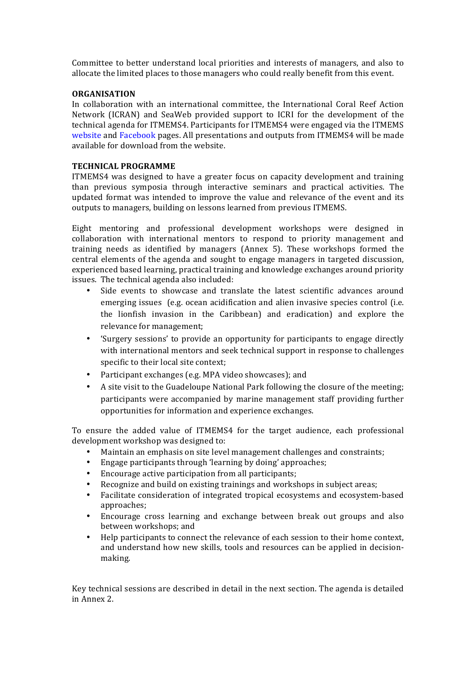Committee to better understand local priorities and interests of managers, and also to allocate the limited places to those managers who could really benefit from this event.

#### **ORGANISATION**

In collaboration with an international committee, the International Coral Reef Action Network (ICRAN) and SeaWeb provided support to ICRI for the development of the technical agenda for ITMEMS4. Participants for ITMEMS4 were engaged via the ITMEMS website and Facebook pages. All presentations and outputs from ITMEMS4 will be made available for download from the website.

## **TECHNICAL!PROGRAMME**

ITMEMS4 was designed to have a greater focus on capacity development and training than previous symposia through interactive seminars and practical activities. The updated format was intended to improve the value and relevance of the event and its outputs to managers, building on lessons learned from previous ITMEMS.

Eight mentoring and professional development workshops were designed in collaboration with international mentors to respond to priority management and training needs as identified by managers (Annex 5). These workshops formed the central elements of the agenda and sought to engage managers in targeted discussion, experienced based learning, practical training and knowledge exchanges around priority issues. The technical agenda also included:

- Side events to showcase and translate the latest scientific advances around emerging issues (e.g. ocean acidification and alien invasive species control (i.e. the lionfish invasion in the Caribbean) and eradication) and explore the relevance for management;
- 'Surgery sessions' to provide an opportunity for participants to engage directly with international mentors and seek technical support in response to challenges specific to their local site context;
- Participant exchanges (e.g. MPA video showcases); and
- A site visit to the Guadeloupe National Park following the closure of the meeting; participants were accompanied by marine management staff providing further opportunities for information and experience exchanges.

To ensure the added value of ITMEMS4 for the target audience, each professional development workshop was designed to:

- Maintain an emphasis on site level management challenges and constraints;
- Engage participants through 'learning by doing' approaches;
- $\cdot$  Encourage active participation from all participants;
- Recognize and build on existing trainings and workshops in subject areas;
- Facilitate consideration of integrated tropical ecosystems and ecosystem-based approaches;
- Encourage cross learning and exchange between break out groups and also between workshops; and
- Help participants to connect the relevance of each session to their home context, and understand how new skills, tools and resources can be applied in decisionmaking.

Key technical sessions are described in detail in the next section. The agenda is detailed in Annex 2.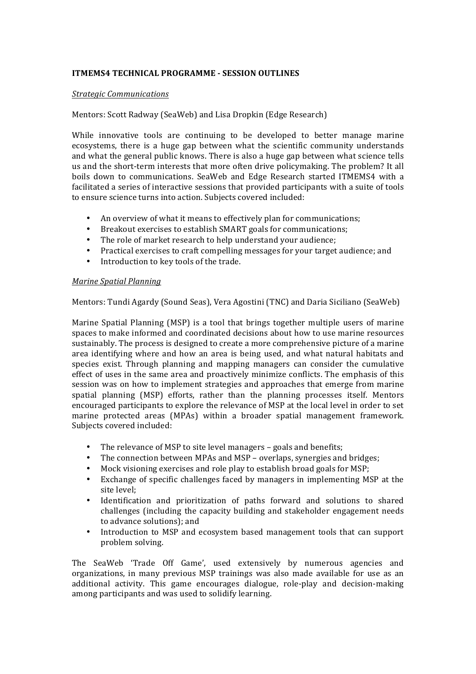## **ITMEMS4 TECHNICAL PROGRAMME - SESSION OUTLINES**

### *Strategic)Communications*

## Mentors: Scott Radway (SeaWeb) and Lisa Dropkin (Edge Research)

While innovative tools are continuing to be developed to better manage marine ecosystems, there is a huge gap between what the scientific community understands and what the general public knows. There is also a huge gap between what science tells us and the short-term interests that more often drive policymaking. The problem? It all boils down to communications. SeaWeb and Edge Research started ITMEMS4 with a facilitated a series of interactive sessions that provided participants with a suite of tools to ensure science turns into action. Subjects covered included:

- An overview of what it means to effectively plan for communications;
- Breakout exercises to establish SMART goals for communications;
- The role of market research to help understand your audience;
- Practical exercises to craft compelling messages for your target audience; and
- Introduction to key tools of the trade.

#### *Marine Spatial Planning*

Mentors: Tundi Agardy (Sound Seas), Vera Agostini (TNC) and Daria Siciliano (SeaWeb)

Marine Spatial Planning (MSP) is a tool that brings together multiple users of marine spaces to make informed and coordinated decisions about how to use marine resources sustainably. The process is designed to create a more comprehensive picture of a marine area identifying where and how an area is being used, and what natural habitats and species exist. Through planning and mapping managers can consider the cumulative effect of uses in the same area and proactively minimize conflicts. The emphasis of this session was on how to implement strategies and approaches that emerge from marine spatial planning (MSP) efforts, rather than the planning processes itself. Mentors encouraged participants to explore the relevance of MSP at the local level in order to set marine protected areas (MPAs) within a broader spatial management framework. Subjects covered included:

- The relevance of MSP to site level managers goals and benefits;
- The connection between MPAs and MSP overlaps, synergies and bridges;
- Mock visioning exercises and role play to establish broad goals for MSP;
- Exchange of specific challenges faced by managers in implementing MSP at the site level:
- Identification and prioritization of paths forward and solutions to shared challenges (including the capacity building and stakeholder engagement needs to advance solutions); and
- Introduction to MSP and ecosystem based management tools that can support problem solving.

The SeaWeb 'Trade Off Game', used extensively by numerous agencies and organizations, in many previous MSP trainings was also made available for use as an additional activity. This game encourages dialogue, role-play and decision-making among participants and was used to solidify learning.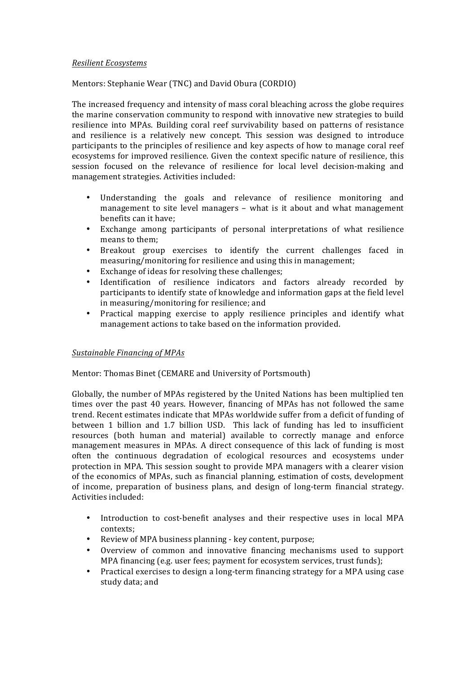#### *Resilient)Ecosystems*

## Mentors: Stephanie Wear (TNC) and David Obura (CORDIO)

The increased frequency and intensity of mass coral bleaching across the globe requires the marine conservation community to respond with innovative new strategies to build resilience into MPAs. Building coral reef survivability based on patterns of resistance and resilience is a relatively new concept. This session was designed to introduce participants to the principles of resilience and key aspects of how to manage coral reef ecosystems for improved resilience. Given the context specific nature of resilience, this session focused on the relevance of resilience for local level decision-making and management strategies. Activities included:

- Understanding the goals and relevance of resilience monitoring and management to site level managers – what is it about and what management benefits can it have;
- Exchange among participants of personal interpretations of what resilience means to them;
- Breakout group exercises to identify the current challenges faced in measuring/monitoring for resilience and using this in management;
- Exchange of ideas for resolving these challenges;
- Identification of resilience indicators and factors already recorded by participants to identify state of knowledge and information gaps at the field level in measuring/monitoring for resilience; and
- Practical mapping exercise to apply resilience principles and identify what management actions to take based on the information provided.

## *Sustainable)Financing)of)MPAs*

## Mentor: Thomas Binet (CEMARE and University of Portsmouth)

Globally, the number of MPAs registered by the United Nations has been multiplied ten times over the past 40 years. However, financing of MPAs has not followed the same trend. Recent estimates indicate that MPAs worldwide suffer from a deficit of funding of between 1 billion and 1.7 billion USD. This lack of funding has led to insufficient resources (both human and material) available to correctly manage and enforce management measures in MPAs. A direct consequence of this lack of funding is most often the continuous degradation of ecological resources and ecosystems under protection in MPA. This session sought to provide MPA managers with a clearer vision of the economics of MPAs, such as financial planning, estimation of costs, development of income, preparation of business plans, and design of long-term financial strategy. Activities included:

- Introduction to cost-benefit analyses and their respective uses in local MPA contexts;
- Review of MPA business planning key content, purpose;
- Overview of common and innovative financing mechanisms used to support MPA financing (e.g. user fees; payment for ecosystem services, trust funds);
- Practical exercises to design a long-term financing strategy for a MPA using case study data; and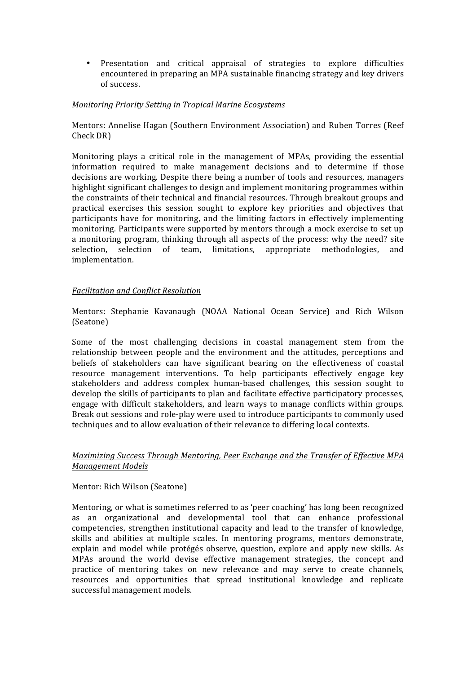• Presentation and critical appraisal of strategies to explore difficulties encountered in preparing an MPA sustainable financing strategy and key drivers of success.

### *Monitoring)Priority)Setting)in)Tropical)Marine)Ecosystems*

Mentors: Annelise Hagan (Southern Environment Association) and Ruben Torres (Reef Check DR)

Monitoring plays a critical role in the management of MPAs, providing the essential information required to make management decisions and to determine if those decisions are working. Despite there being a number of tools and resources, managers highlight significant challenges to design and implement monitoring programmes within the constraints of their technical and financial resources. Through breakout groups and practical exercises this session sought to explore key priorities and objectives that participants have for monitoring, and the limiting factors in effectively implementing monitoring. Participants were supported by mentors through a mock exercise to set up a monitoring program, thinking through all aspects of the process: why the need? site selection, selection of team, limitations, appropriate methodologies, and implementation.

### *Facilitation)and)Conflict)Resolution*

Mentors: Stephanie Kavanaugh (NOAA National Ocean Service) and Rich Wilson (Seatone)

Some of the most challenging decisions in coastal management stem from the relationship between people and the environment and the attitudes, perceptions and beliefs of stakeholders can have significant bearing on the effectiveness of coastal resource management interventions. To help participants effectively engage key stakeholders and address complex human-based challenges, this session sought to develop the skills of participants to plan and facilitate effective participatory processes, engage with difficult stakeholders, and learn ways to manage conflicts within groups. Break out sessions and role-play were used to introduce participants to commonly used techniques and to allow evaluation of their relevance to differing local contexts.

#### *Maximizing Success Through Mentoring, Peer Exchange and the Transfer of Effective MPA* **Management Models**

#### Mentor: Rich Wilson (Seatone)

Mentoring, or what is sometimes referred to as 'peer coaching' has long been recognized as an organizational and developmental tool that can enhance professional competencies, strengthen institutional capacity and lead to the transfer of knowledge, skills and abilities at multiple scales. In mentoring programs, mentors demonstrate, explain and model while protégés observe, question, explore and apply new skills. As MPAs around the world devise effective management strategies, the concept and practice of mentoring takes on new relevance and may serve to create channels, resources and opportunities that spread institutional knowledge and replicate successful management models.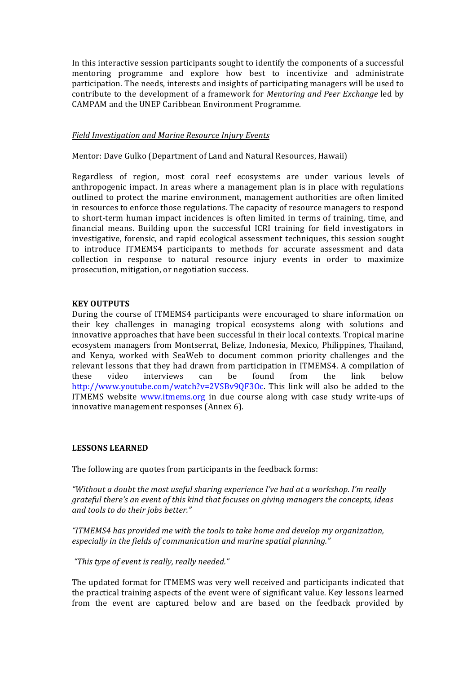In this interactive session participants sought to identify the components of a successful mentoring programme and explore how best to incentivize and administrate participation. The needs, interests and insights of participating managers will be used to contribute to the development of a framework for *Mentoring and Peer Exchange* led by CAMPAM and the UNEP Caribbean Environment Programme.

#### *Field)Investigation)and)Marine)Resource)Injury Events*

Mentor: Dave Gulko (Department of Land and Natural Resources, Hawaii)

Regardless of region, most coral reef ecosystems are under various levels of anthropogenic impact. In areas where a management plan is in place with regulations outlined to protect the marine environment, management authorities are often limited in resources to enforce those regulations. The capacity of resource managers to respond to short-term human impact incidences is often limited in terms of training, time, and financial means. Building upon the successful ICRI training for field investigators in investigative, forensic, and rapid ecological assessment techniques, this session sought to introduce ITMEMS4 participants to methods for accurate assessment and data collection in response to natural resource injury events in order to maximize prosecution, mitigation, or negotiation success.

#### **KEY!OUTPUTS**

During the course of ITMEMS4 participants were encouraged to share information on their key challenges in managing tropical ecosystems along with solutions and innovative approaches that have been successful in their local contexts. Tropical marine ecosystem managers from Montserrat, Belize, Indonesia, Mexico, Philippines, Thailand, and Kenya, worked with SeaWeb to document common priority challenges and the relevant lessons that they had drawn from participation in ITMEMS4. A compilation of these video interviews can be found from the link below http://www.youtube.com/watch?v=2VSBv9QF3Oc. This link will also be added to the ITMEMS website www.itmems.org in due course along with case study write-ups of innovative management responses (Annex 6).

#### **LESSONS!LEARNED**

The following are quotes from participants in the feedback forms:

*"Without)a)doubt)the)most)useful)sharing)experience)I've)had)at)a)workshop.)I'm)really) grateful there's an event of this kind that focuses on giving managers the concepts, ideas* and tools to do their jobs better."

*"ITMEMS4)has)provided)me)with)the)tools)to)take)home)and)develop)my)organization,) especially in the fields of communication and marine spatial planning."* 

*"This)type)of)event)is)really,)really)needed."*

The updated format for ITMEMS was very well received and participants indicated that the practical training aspects of the event were of significant value. Key lessons learned from the event are captured below and are based on the feedback provided by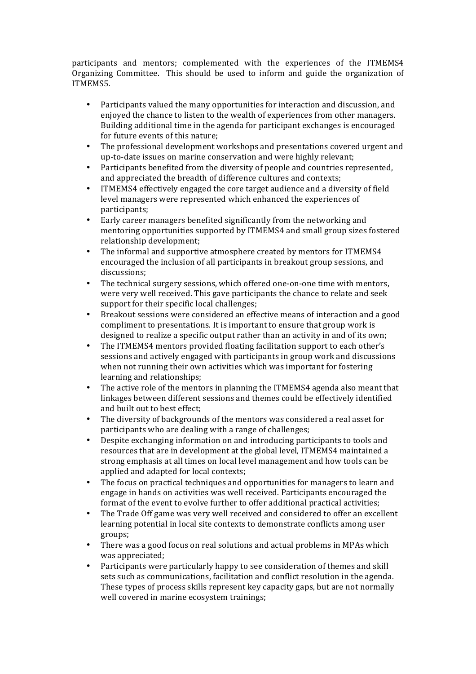participants and mentors; complemented with the experiences of the ITMEMS4 Organizing Committee. This should be used to inform and guide the organization of ITMEMS5.

- Participants valued the many opportunities for interaction and discussion, and enjoyed the chance to listen to the wealth of experiences from other managers. Building additional time in the agenda for participant exchanges is encouraged for future events of this nature;
- The professional development workshops and presentations covered urgent and up-to-date issues on marine conservation and were highly relevant;
- Participants benefited from the diversity of people and countries represented, and appreciated the breadth of difference cultures and contexts;
- ITMEMS4 effectively engaged the core target audience and a diversity of field level managers were represented which enhanced the experiences of participants;
- Early career managers benefited significantly from the networking and mentoring opportunities supported by ITMEMS4 and small group sizes fostered relationship development;
- The informal and supportive atmosphere created by mentors for ITMEMS4 encouraged the inclusion of all participants in breakout group sessions, and discussions;
- The technical surgery sessions, which offered one-on-one time with mentors, were very well received. This gave participants the chance to relate and seek support for their specific local challenges;
- Breakout sessions were considered an effective means of interaction and a good compliment to presentations. It is important to ensure that group work is designed to realize a specific output rather than an activity in and of its own;
- The ITMEMS4 mentors provided floating facilitation support to each other's sessions and actively engaged with participants in group work and discussions when not running their own activities which was important for fostering learning and relationships;
- The active role of the mentors in planning the ITMEMS4 agenda also meant that linkages between different sessions and themes could be effectively identified and built out to best effect:
- The diversity of backgrounds of the mentors was considered a real asset for participants who are dealing with a range of challenges;
- Despite exchanging information on and introducing participants to tools and resources that are in development at the global level, ITMEMS4 maintained a strong emphasis at all times on local level management and how tools can be applied and adapted for local contexts;
- The focus on practical techniques and opportunities for managers to learn and engage in hands on activities was well received. Participants encouraged the format of the event to evolve further to offer additional practical activities;
- The Trade Off game was very well received and considered to offer an excellent learning potential in local site contexts to demonstrate conflicts among user groups;
- There was a good focus on real solutions and actual problems in MPAs which was appreciated;
- Participants were particularly happy to see consideration of themes and skill sets such as communications, facilitation and conflict resolution in the agenda. These types of process skills represent key capacity gaps, but are not normally well covered in marine ecosystem trainings;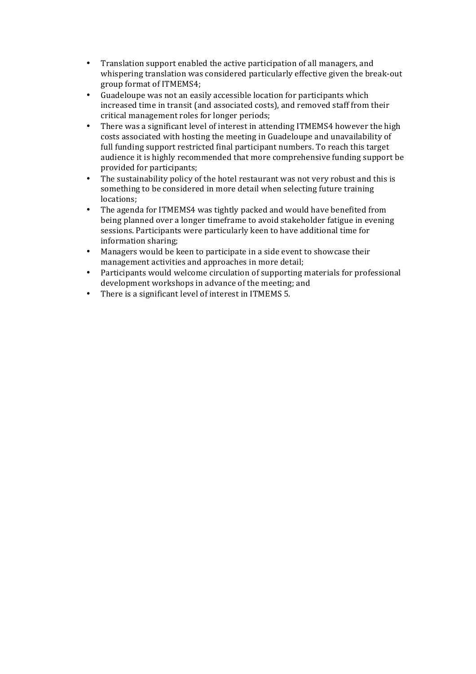- Translation support enabled the active participation of all managers, and whispering translation was considered particularly effective given the break-out group format of ITMEMS4;
- Guadeloupe was not an easily accessible location for participants which increased time in transit (and associated costs), and removed staff from their critical management roles for longer periods;
- There was a significant level of interest in attending ITMEMS4 however the high costs associated with hosting the meeting in Guadeloupe and unavailability of full funding support restricted final participant numbers. To reach this target audience it is highly recommended that more comprehensive funding support be provided for participants;
- The sustainability policy of the hotel restaurant was not very robust and this is something to be considered in more detail when selecting future training locations;
- The agenda for ITMEMS4 was tightly packed and would have benefited from being planned over a longer timeframe to avoid stakeholder fatigue in evening sessions. Participants were particularly keen to have additional time for information sharing;
- Managers would be keen to participate in a side event to showcase their management activities and approaches in more detail;
- Participants would welcome circulation of supporting materials for professional development workshops in advance of the meeting; and
- There is a significant level of interest in ITMEMS  $5.$